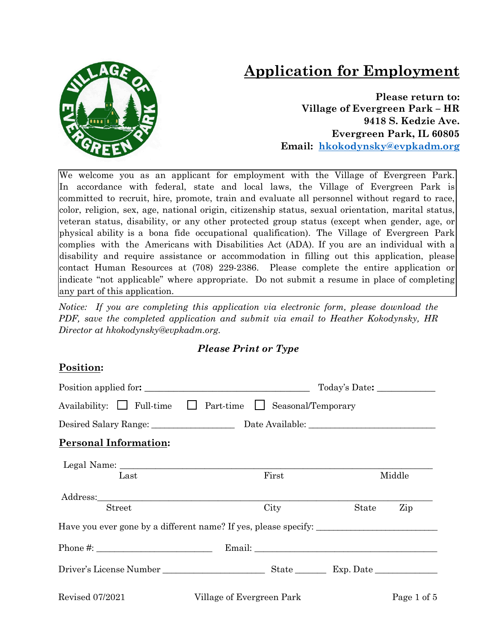# **Application for Employment**



**Please return to: Village of Evergreen Park – HR 9418 S. Kedzie Ave. Evergreen Park, IL 60805 Email: [hkokodynsky@evpkadm.org](mailto:hkokodynsky@evpkadm.org)**

We welcome you as an applicant for employment with the Village of Evergreen Park. In accordance with federal, state and local laws, the Village of Evergreen Park is committed to recruit, hire, promote, train and evaluate all personnel without regard to race, color, religion, sex, age, national origin, citizenship status, sexual orientation, marital status, veteran status, disability, or any other protected group status (except when gender, age, or physical ability is a bona fide occupational qualification). The Village of Evergreen Park complies with the Americans with Disabilities Act (ADA). If you are an individual with a disability and require assistance or accommodation in filling out this application, please contact Human Resources at (708) 229-2386. Please complete the entire application or indicate "not applicable" where appropriate. Do not submit a resume in place of completing any part of this application.

*Notice: If you are completing this application via electronic form, please download the PDF, save the completed application and submit via email to Heather Kokodynsky, HR Director at hkokodynsky@evpkadm.org.*

### *Please Print or Type*

### **Position:**

|                                       | Position applied for:<br>Today's Date:                                            |       |             |  |
|---------------------------------------|-----------------------------------------------------------------------------------|-------|-------------|--|
| Availability: $\Box$ Full-time $\Box$ | Part-time Seasonal/Temporary                                                      |       |             |  |
|                                       |                                                                                   |       |             |  |
| <b>Personal Information:</b>          |                                                                                   |       |             |  |
|                                       |                                                                                   |       |             |  |
| Last                                  | First                                                                             |       | Middle      |  |
|                                       |                                                                                   |       |             |  |
| <b>Street</b>                         | City                                                                              | State | Zip         |  |
|                                       | Have you ever gone by a different name? If yes, please specify: _________________ |       |             |  |
| Phone $\#$ :                          |                                                                                   |       |             |  |
|                                       |                                                                                   |       |             |  |
| <b>Revised 07/2021</b>                | Village of Evergreen Park                                                         |       | Page 1 of 5 |  |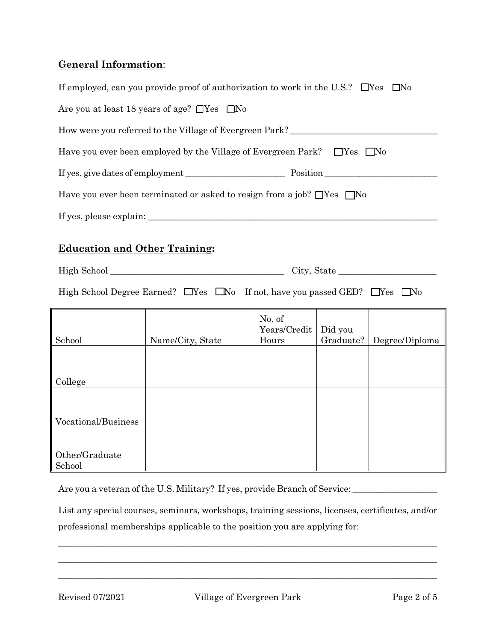## **General Information**:

|                                                                                                   | If employed, can you provide proof of authorization to work in the U.S.? $\Box$ Yes |                                 |                      | $\square$ No   |
|---------------------------------------------------------------------------------------------------|-------------------------------------------------------------------------------------|---------------------------------|----------------------|----------------|
|                                                                                                   | Are you at least 18 years of age? $\Box$ Yes $\Box$ No                              |                                 |                      |                |
|                                                                                                   | How were you referred to the Village of Evergreen Park?                             |                                 |                      |                |
|                                                                                                   | Have you ever been employed by the Village of Evergreen Park? $\Box$ Yes $\Box$ No  |                                 |                      |                |
|                                                                                                   |                                                                                     |                                 |                      |                |
|                                                                                                   | Have you ever been terminated or asked to resign from a job? $\Box$ Yes $\Box$ No   |                                 |                      |                |
|                                                                                                   |                                                                                     |                                 |                      |                |
| <b>Education and Other Training:</b>                                                              |                                                                                     |                                 |                      |                |
|                                                                                                   |                                                                                     |                                 |                      | City, State    |
| High School Degree Earned? $\Box$ Yes $\Box$ No If not, have you passed GED? $\Box$ Yes $\Box$ No |                                                                                     |                                 |                      |                |
| School                                                                                            | Name/City, State                                                                    | No. of<br>Years/Credit<br>Hours | Did you<br>Graduate? | Degree/Diploma |
| College                                                                                           |                                                                                     |                                 |                      |                |
| Vocational/Business                                                                               |                                                                                     |                                 |                      |                |
| Other/Graduate<br>School                                                                          |                                                                                     |                                 |                      |                |

Are you a veteran of the U.S. Military? If yes, provide Branch of Service: \_\_\_\_\_\_\_\_\_\_\_\_\_\_\_\_\_\_\_\_\_\_\_\_\_\_\_\_\_\_\_\_\_\_\_

List any special courses, seminars, workshops, training sessions, licenses, certificates, and/or professional memberships applicable to the position you are applying for:

 $\_$  , and the set of the set of the set of the set of the set of the set of the set of the set of the set of the set of the set of the set of the set of the set of the set of the set of the set of the set of the set of th \_\_\_\_\_\_\_\_\_\_\_\_\_\_\_\_\_\_\_\_\_\_\_\_\_\_\_\_\_\_\_\_\_\_\_\_\_\_\_\_\_\_\_\_\_\_\_\_\_\_\_\_\_\_\_\_\_\_\_\_\_\_\_\_\_\_\_\_\_\_\_\_\_\_\_\_\_\_\_\_\_\_\_\_\_ \_\_\_\_\_\_\_\_\_\_\_\_\_\_\_\_\_\_\_\_\_\_\_\_\_\_\_\_\_\_\_\_\_\_\_\_\_\_\_\_\_\_\_\_\_\_\_\_\_\_\_\_\_\_\_\_\_\_\_\_\_\_\_\_\_\_\_\_\_\_\_\_\_\_\_\_\_\_\_\_\_\_\_\_\_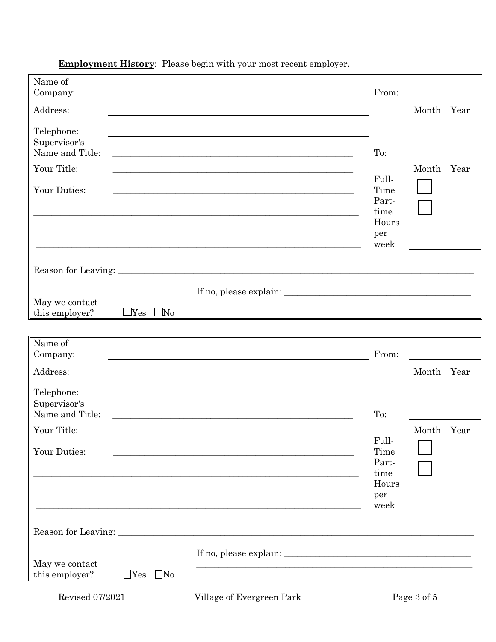| Name of<br>Company:                           |                      |                                                                                                                      | From:                                                  |            |      |
|-----------------------------------------------|----------------------|----------------------------------------------------------------------------------------------------------------------|--------------------------------------------------------|------------|------|
| Address:                                      |                      |                                                                                                                      |                                                        | Month      | Year |
| Telephone:<br>Supervisor's<br>Name and Title: |                      | <u> 1989 - Johann Barn, amerikan bernama di sebagai pengaran bernama dan bernama dalam pengaran bernama dalam pe</u> | To:                                                    |            |      |
| Your Title:                                   |                      |                                                                                                                      |                                                        | Month      | Year |
| Your Duties:                                  |                      |                                                                                                                      | Full-<br>Time<br>Part-<br>time<br>Hours<br>per<br>week |            |      |
|                                               |                      |                                                                                                                      |                                                        |            |      |
| May we contact<br>this employer?              | $\Box$ Yes $\Box$ No | <u> 1989 - Johann Barn, amerikansk politiker (d. 1989)</u>                                                           |                                                        |            |      |
| Name of                                       |                      |                                                                                                                      |                                                        |            |      |
| Company:                                      |                      |                                                                                                                      | From:                                                  |            |      |
| Address:                                      |                      |                                                                                                                      |                                                        | Month Year |      |
| Telephone:<br>Supervisor's<br>Name and Title: |                      | <u> 1989 - Jan James James, amerikansk politik (d. 1989)</u>                                                         | To:                                                    |            |      |
| Your Title:                                   |                      |                                                                                                                      |                                                        | Month Year |      |
| Your Duties:                                  |                      |                                                                                                                      | Full-<br>Time<br>Part-<br>time<br>Hours<br>per         |            |      |
|                                               |                      |                                                                                                                      | week                                                   |            |      |
| May we contact<br>this employer?              | $\Box$ Yes $\Box$ No |                                                                                                                      |                                                        |            |      |

**Employment History**: Please begin with your most recent employer.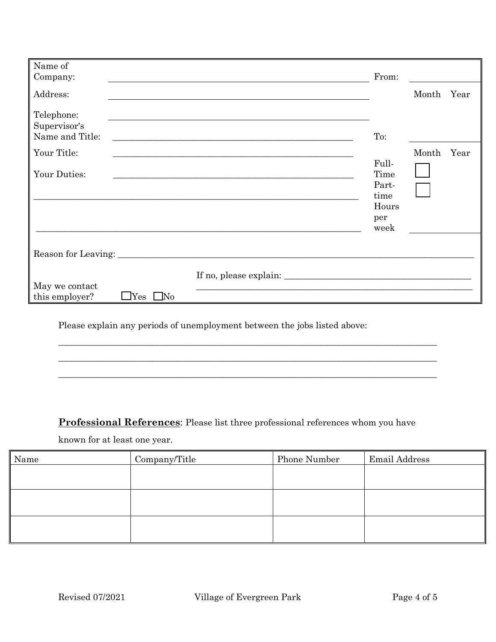| Name of<br>Company:                                      |                                                                                                                      | From:                                                  |       |      |
|----------------------------------------------------------|----------------------------------------------------------------------------------------------------------------------|--------------------------------------------------------|-------|------|
| Address:                                                 |                                                                                                                      |                                                        | Month | Year |
| Telephone:<br>Supervisor's<br>Name and Title:            | <u> 1989 - Johann Stein, marwolaethau a bhann an t-Amhainn an t-Amhainn an t-Amhainn an t-Amhainn an t-Amhainn a</u> | To:                                                    |       |      |
| Your Title:                                              |                                                                                                                      |                                                        | Month | Year |
| Your Duties:                                             |                                                                                                                      | Full-<br>Time<br>Part-<br>time<br>Hours<br>per<br>week |       |      |
| May we contact<br>this employer?<br>$\Box$ Yes $\Box$ No |                                                                                                                      |                                                        |       |      |

Please explain any periods of unemployment between the jobs listed above:

**Professional References**: Please list three professional references whom you have

\_\_\_\_\_\_\_\_\_\_\_\_\_\_\_\_\_\_\_\_\_\_\_\_\_\_\_\_\_\_\_\_\_\_\_\_\_\_\_\_\_\_\_\_\_\_\_\_\_\_\_\_\_\_\_\_\_\_\_\_\_\_\_\_\_\_\_\_\_\_\_\_\_\_\_\_\_\_\_\_\_\_\_\_\_ \_\_\_\_\_\_\_\_\_\_\_\_\_\_\_\_\_\_\_\_\_\_\_\_\_\_\_\_\_\_\_\_\_\_\_\_\_\_\_\_\_\_\_\_\_\_\_\_\_\_\_\_\_\_\_\_\_\_\_\_\_\_\_\_\_\_\_\_\_\_\_\_\_\_\_\_\_\_\_\_\_\_\_\_\_ \_\_\_\_\_\_\_\_\_\_\_\_\_\_\_\_\_\_\_\_\_\_\_\_\_\_\_\_\_\_\_\_\_\_\_\_\_\_\_\_\_\_\_\_\_\_\_\_\_\_\_\_\_\_\_\_\_\_\_\_\_\_\_\_\_\_\_\_\_\_\_\_\_\_\_\_\_\_\_\_\_\_\_\_\_

known for at least one year.

| Name | Company/Title | Phone Number | Email Address |
|------|---------------|--------------|---------------|
|      |               |              |               |
|      |               |              |               |
|      |               |              |               |
|      |               |              |               |
|      |               |              |               |
|      |               |              |               |